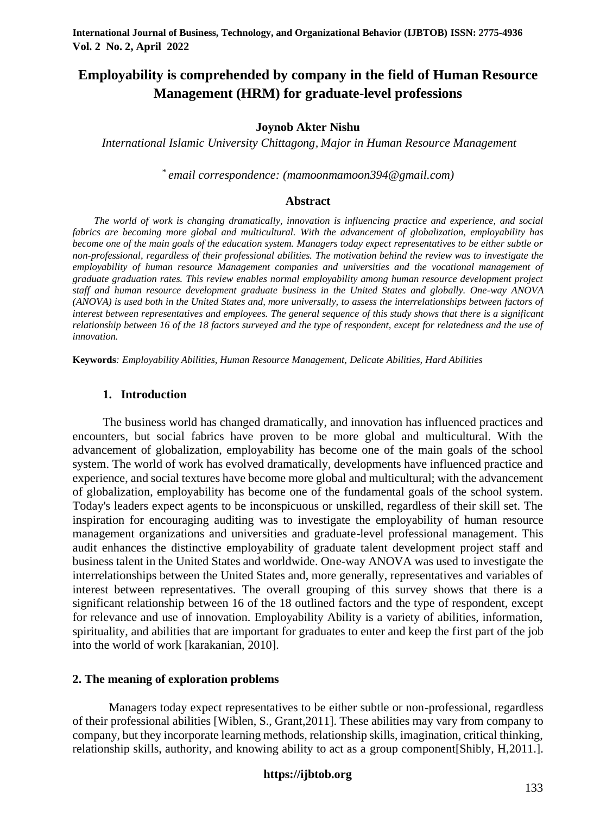# **Employability is comprehended by company in the field of Human Resource Management (HRM) for graduate-level professions**

### **Joynob Akter Nishu**

*International Islamic University Chittagong, Major in Human Resource Management*

*\* email correspondence: (mamoonmamoon394@gmail.com)*

#### **Abstract**

*The world of work is changing dramatically, innovation is influencing practice and experience, and social fabrics are becoming more global and multicultural. With the advancement of globalization, employability has become one of the main goals of the education system. Managers today expect representatives to be either subtle or non-professional, regardless of their professional abilities. The motivation behind the review was to investigate the employability of human resource Management companies and universities and the vocational management of graduate graduation rates. This review enables normal employability among human resource development project staff and human resource development graduate business in the United States and globally. One-way ANOVA (ANOVA) is used both in the United States and, more universally, to assess the interrelationships between factors of interest between representatives and employees. The general sequence of this study shows that there is a significant relationship between 16 of the 18 factors surveyed and the type of respondent, except for relatedness and the use of innovation.*

**Keywords***: Employability Abilities, Human Resource Management, Delicate Abilities, Hard Abilities*

### **1. Introduction**

The business world has changed dramatically, and innovation has influenced practices and encounters, but social fabrics have proven to be more global and multicultural. With the advancement of globalization, employability has become one of the main goals of the school system. The world of work has evolved dramatically, developments have influenced practice and experience, and social textures have become more global and multicultural; with the advancement of globalization, employability has become one of the fundamental goals of the school system. Today's leaders expect agents to be inconspicuous or unskilled, regardless of their skill set. The inspiration for encouraging auditing was to investigate the employability of human resource management organizations and universities and graduate-level professional management. This audit enhances the distinctive employability of graduate talent development project staff and business talent in the United States and worldwide. One-way ANOVA was used to investigate the interrelationships between the United States and, more generally, representatives and variables of interest between representatives. The overall grouping of this survey shows that there is a significant relationship between 16 of the 18 outlined factors and the type of respondent, except for relevance and use of innovation. Employability Ability is a variety of abilities, information, spirituality, and abilities that are important for graduates to enter and keep the first part of the job into the world of work [karakanian, 2010].

# **2. The meaning of exploration problems**

Managers today expect representatives to be either subtle or non-professional, regardless of their professional abilities [Wiblen, S., Grant,2011]. These abilities may vary from company to company, but they incorporate learning methods, relationship skills, imagination, critical thinking, relationship skills, authority, and knowing ability to act as a group component[Shibly, H,2011.].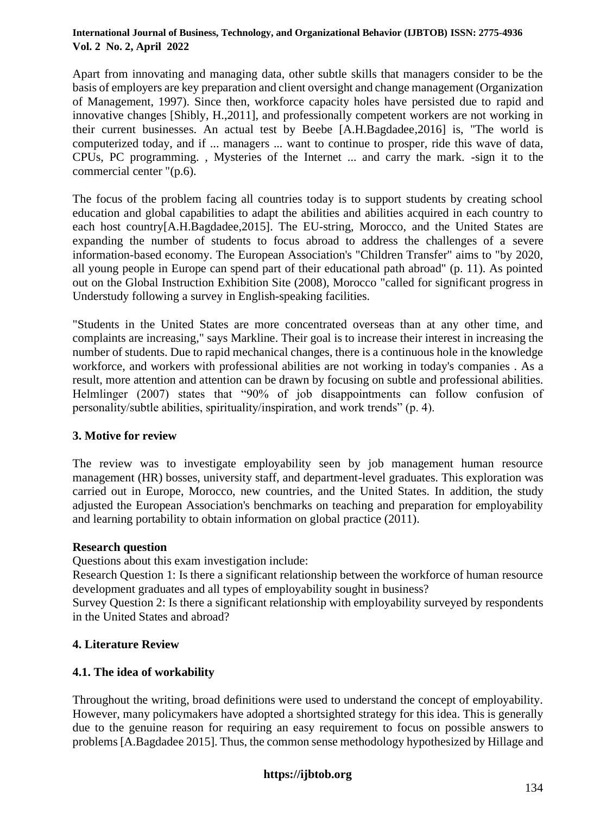Apart from innovating and managing data, other subtle skills that managers consider to be the basis of employers are key preparation and client oversight and change management (Organization of Management, 1997). Since then, workforce capacity holes have persisted due to rapid and innovative changes [Shibly, H.,2011], and professionally competent workers are not working in their current businesses. An actual test by Beebe [A.H.Bagdadee,2016] is, "The world is computerized today, and if ... managers ... want to continue to prosper, ride this wave of data, CPUs, PC programming. , Mysteries of the Internet ... and carry the mark. -sign it to the commercial center "(p.6).

The focus of the problem facing all countries today is to support students by creating school education and global capabilities to adapt the abilities and abilities acquired in each country to each host country[A.H.Bagdadee,2015]. The EU-string, Morocco, and the United States are expanding the number of students to focus abroad to address the challenges of a severe information-based economy. The European Association's "Children Transfer" aims to "by 2020, all young people in Europe can spend part of their educational path abroad" (p. 11). As pointed out on the Global Instruction Exhibition Site (2008), Morocco "called for significant progress in Understudy following a survey in English-speaking facilities.

"Students in the United States are more concentrated overseas than at any other time, and complaints are increasing," says Markline. Their goal is to increase their interest in increasing the number of students. Due to rapid mechanical changes, there is a continuous hole in the knowledge workforce, and workers with professional abilities are not working in today's companies . As a result, more attention and attention can be drawn by focusing on subtle and professional abilities. Helmlinger (2007) states that "90% of job disappointments can follow confusion of personality/subtle abilities, spirituality/inspiration, and work trends" (p. 4).

### **3. Motive for review**

The review was to investigate employability seen by job management human resource management (HR) bosses, university staff, and department-level graduates. This exploration was carried out in Europe, Morocco, new countries, and the United States. In addition, the study adjusted the European Association's benchmarks on teaching and preparation for employability and learning portability to obtain information on global practice (2011).

### **Research question**

Questions about this exam investigation include:

Research Question 1: Is there a significant relationship between the workforce of human resource development graduates and all types of employability sought in business?

Survey Question 2: Is there a significant relationship with employability surveyed by respondents in the United States and abroad?

# **4. Literature Review**

### **4.1. The idea of workability**

Throughout the writing, broad definitions were used to understand the concept of employability. However, many policymakers have adopted a shortsighted strategy for this idea. This is generally due to the genuine reason for requiring an easy requirement to focus on possible answers to problems [A.Bagdadee 2015]. Thus, the common sense methodology hypothesized by Hillage and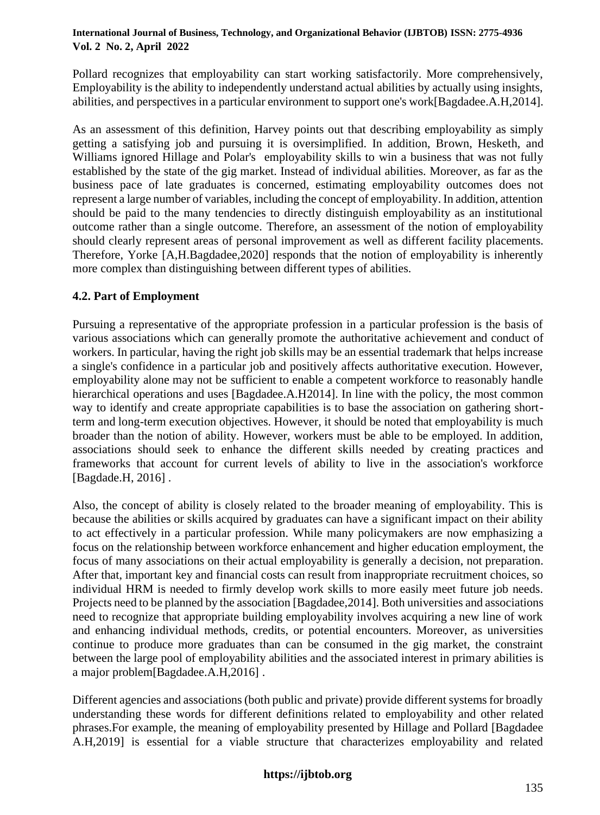Pollard recognizes that employability can start working satisfactorily. More comprehensively, Employability is the ability to independently understand actual abilities by actually using insights, abilities, and perspectives in a particular environment to support one's work[Bagdadee.A.H,2014].

As an assessment of this definition, Harvey points out that describing employability as simply getting a satisfying job and pursuing it is oversimplified. In addition, Brown, Hesketh, and Williams ignored Hillage and Polar's employability skills to win a business that was not fully established by the state of the gig market. Instead of individual abilities. Moreover, as far as the business pace of late graduates is concerned, estimating employability outcomes does not represent a large number of variables, including the concept of employability. In addition, attention should be paid to the many tendencies to directly distinguish employability as an institutional outcome rather than a single outcome. Therefore, an assessment of the notion of employability should clearly represent areas of personal improvement as well as different facility placements. Therefore, Yorke [A,H.Bagdadee,2020] responds that the notion of employability is inherently more complex than distinguishing between different types of abilities.

# **4.2. Part of Employment**

Pursuing a representative of the appropriate profession in a particular profession is the basis of various associations which can generally promote the authoritative achievement and conduct of workers. In particular, having the right job skills may be an essential trademark that helps increase a single's confidence in a particular job and positively affects authoritative execution. However, employability alone may not be sufficient to enable a competent workforce to reasonably handle hierarchical operations and uses [Bagdadee.A.H2014]. In line with the policy, the most common way to identify and create appropriate capabilities is to base the association on gathering shortterm and long-term execution objectives. However, it should be noted that employability is much broader than the notion of ability. However, workers must be able to be employed. In addition, associations should seek to enhance the different skills needed by creating practices and frameworks that account for current levels of ability to live in the association's workforce [Bagdade.H, 2016] .

Also, the concept of ability is closely related to the broader meaning of employability. This is because the abilities or skills acquired by graduates can have a significant impact on their ability to act effectively in a particular profession. While many policymakers are now emphasizing a focus on the relationship between workforce enhancement and higher education employment, the focus of many associations on their actual employability is generally a decision, not preparation. After that, important key and financial costs can result from inappropriate recruitment choices, so individual HRM is needed to firmly develop work skills to more easily meet future job needs. Projects need to be planned by the association [Bagdadee,2014]. Both universities and associations need to recognize that appropriate building employability involves acquiring a new line of work and enhancing individual methods, credits, or potential encounters. Moreover, as universities continue to produce more graduates than can be consumed in the gig market, the constraint between the large pool of employability abilities and the associated interest in primary abilities is a major problem[Bagdadee.A.H,2016] .

Different agencies and associations (both public and private) provide different systems for broadly understanding these words for different definitions related to employability and other related phrases.For example, the meaning of employability presented by Hillage and Pollard [Bagdadee A.H,2019] is essential for a viable structure that characterizes employability and related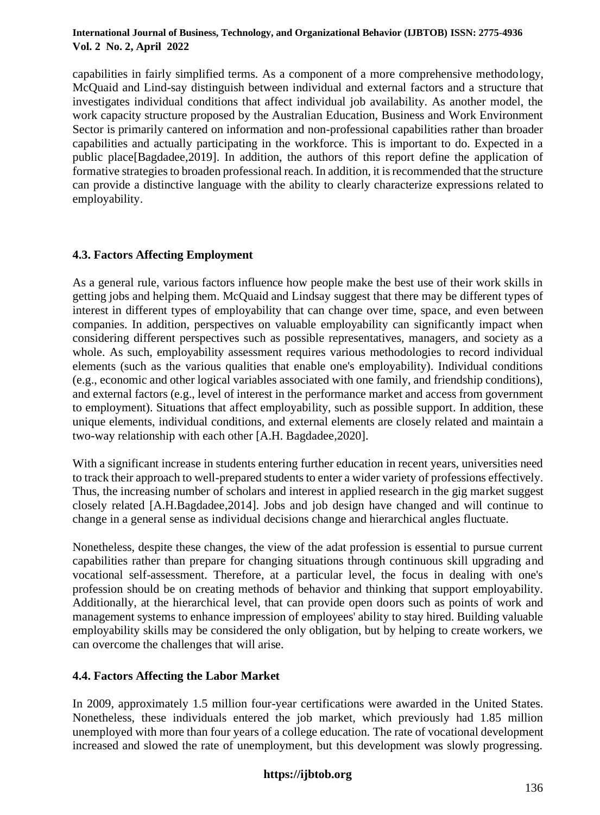capabilities in fairly simplified terms. As a component of a more comprehensive methodology, McQuaid and Lind-say distinguish between individual and external factors and a structure that investigates individual conditions that affect individual job availability. As another model, the work capacity structure proposed by the Australian Education, Business and Work Environment Sector is primarily cantered on information and non-professional capabilities rather than broader capabilities and actually participating in the workforce. This is important to do. Expected in a public place[Bagdadee,2019]. In addition, the authors of this report define the application of formative strategies to broaden professional reach. In addition, it is recommended that the structure can provide a distinctive language with the ability to clearly characterize expressions related to employability.

# **4.3. Factors Affecting Employment**

As a general rule, various factors influence how people make the best use of their work skills in getting jobs and helping them. McQuaid and Lindsay suggest that there may be different types of interest in different types of employability that can change over time, space, and even between companies. In addition, perspectives on valuable employability can significantly impact when considering different perspectives such as possible representatives, managers, and society as a whole. As such, employability assessment requires various methodologies to record individual elements (such as the various qualities that enable one's employability). Individual conditions (e.g., economic and other logical variables associated with one family, and friendship conditions), and external factors (e.g., level of interest in the performance market and access from government to employment). Situations that affect employability, such as possible support. In addition, these unique elements, individual conditions, and external elements are closely related and maintain a two-way relationship with each other [A.H. Bagdadee,2020].

With a significant increase in students entering further education in recent years, universities need to track their approach to well-prepared students to enter a wider variety of professions effectively. Thus, the increasing number of scholars and interest in applied research in the gig market suggest closely related [A.H.Bagdadee,2014]. Jobs and job design have changed and will continue to change in a general sense as individual decisions change and hierarchical angles fluctuate.

Nonetheless, despite these changes, the view of the adat profession is essential to pursue current capabilities rather than prepare for changing situations through continuous skill upgrading and vocational self-assessment. Therefore, at a particular level, the focus in dealing with one's profession should be on creating methods of behavior and thinking that support employability. Additionally, at the hierarchical level, that can provide open doors such as points of work and management systems to enhance impression of employees' ability to stay hired. Building valuable employability skills may be considered the only obligation, but by helping to create workers, we can overcome the challenges that will arise.

# **4.4. Factors Affecting the Labor Market**

In 2009, approximately 1.5 million four-year certifications were awarded in the United States. Nonetheless, these individuals entered the job market, which previously had 1.85 million unemployed with more than four years of a college education. The rate of vocational development increased and slowed the rate of unemployment, but this development was slowly progressing.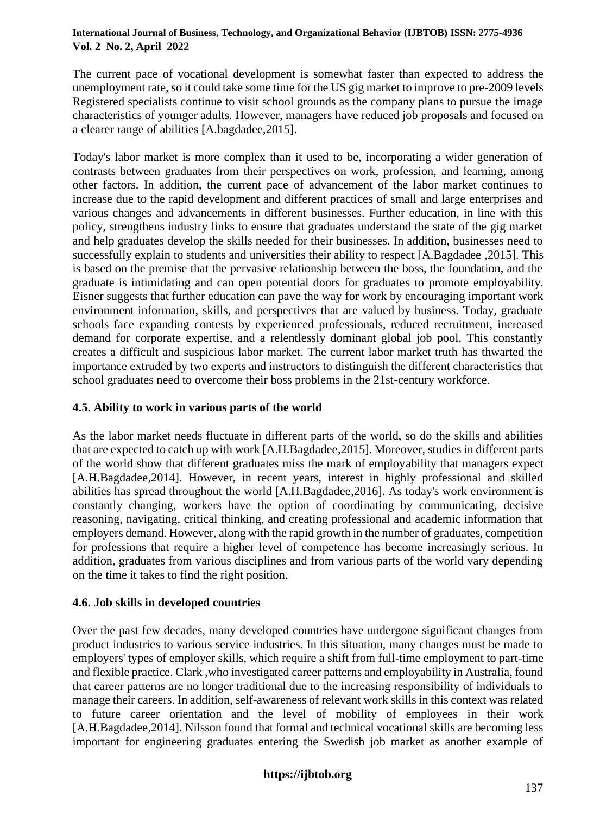The current pace of vocational development is somewhat faster than expected to address the unemployment rate, so it could take some time for the US gig market to improve to pre-2009 levels Registered specialists continue to visit school grounds as the company plans to pursue the image characteristics of younger adults. However, managers have reduced job proposals and focused on a clearer range of abilities [A.bagdadee,2015].

Today's labor market is more complex than it used to be, incorporating a wider generation of contrasts between graduates from their perspectives on work, profession, and learning, among other factors. In addition, the current pace of advancement of the labor market continues to increase due to the rapid development and different practices of small and large enterprises and various changes and advancements in different businesses. Further education, in line with this policy, strengthens industry links to ensure that graduates understand the state of the gig market and help graduates develop the skills needed for their businesses. In addition, businesses need to successfully explain to students and universities their ability to respect [A.Bagdadee ,2015]. This is based on the premise that the pervasive relationship between the boss, the foundation, and the graduate is intimidating and can open potential doors for graduates to promote employability. Eisner suggests that further education can pave the way for work by encouraging important work environment information, skills, and perspectives that are valued by business. Today, graduate schools face expanding contests by experienced professionals, reduced recruitment, increased demand for corporate expertise, and a relentlessly dominant global job pool. This constantly creates a difficult and suspicious labor market. The current labor market truth has thwarted the importance extruded by two experts and instructors to distinguish the different characteristics that school graduates need to overcome their boss problems in the 21st-century workforce.

# **4.5. Ability to work in various parts of the world**

As the labor market needs fluctuate in different parts of the world, so do the skills and abilities that are expected to catch up with work [A.H.Bagdadee,2015]. Moreover, studies in different parts of the world show that different graduates miss the mark of employability that managers expect [A.H.Bagdadee,2014]. However, in recent years, interest in highly professional and skilled abilities has spread throughout the world [A.H.Bagdadee,2016]. As today's work environment is constantly changing, workers have the option of coordinating by communicating, decisive reasoning, navigating, critical thinking, and creating professional and academic information that employers demand. However, along with the rapid growth in the number of graduates, competition for professions that require a higher level of competence has become increasingly serious. In addition, graduates from various disciplines and from various parts of the world vary depending on the time it takes to find the right position.

# **4.6. Job skills in developed countries**

Over the past few decades, many developed countries have undergone significant changes from product industries to various service industries. In this situation, many changes must be made to employers' types of employer skills, which require a shift from full-time employment to part-time and flexible practice. Clark ,who investigated career patterns and employability in Australia, found that career patterns are no longer traditional due to the increasing responsibility of individuals to manage their careers. In addition, self-awareness of relevant work skills in this context was related to future career orientation and the level of mobility of employees in their work [A.H.Bagdadee,2014]. Nilsson found that formal and technical vocational skills are becoming less important for engineering graduates entering the Swedish job market as another example of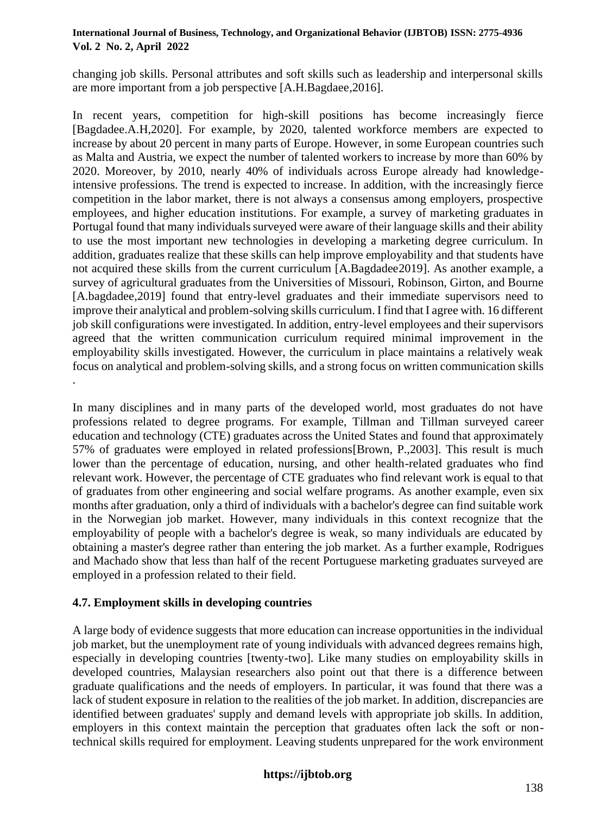changing job skills. Personal attributes and soft skills such as leadership and interpersonal skills are more important from a job perspective [A.H.Bagdaee,2016].

In recent years, competition for high-skill positions has become increasingly fierce [Bagdadee.A.H,2020]. For example, by 2020, talented workforce members are expected to increase by about 20 percent in many parts of Europe. However, in some European countries such as Malta and Austria, we expect the number of talented workers to increase by more than 60% by 2020. Moreover, by 2010, nearly 40% of individuals across Europe already had knowledgeintensive professions. The trend is expected to increase. In addition, with the increasingly fierce competition in the labor market, there is not always a consensus among employers, prospective employees, and higher education institutions. For example, a survey of marketing graduates in Portugal found that many individuals surveyed were aware of their language skills and their ability to use the most important new technologies in developing a marketing degree curriculum. In addition, graduates realize that these skills can help improve employability and that students have not acquired these skills from the current curriculum [A.Bagdadee2019]. As another example, a survey of agricultural graduates from the Universities of Missouri, Robinson, Girton, and Bourne [A.bagdadee,2019] found that entry-level graduates and their immediate supervisors need to improve their analytical and problem-solving skills curriculum. I find that I agree with. 16 different job skill configurations were investigated. In addition, entry-level employees and their supervisors agreed that the written communication curriculum required minimal improvement in the employability skills investigated. However, the curriculum in place maintains a relatively weak focus on analytical and problem-solving skills, and a strong focus on written communication skills

In many disciplines and in many parts of the developed world, most graduates do not have professions related to degree programs. For example, Tillman and Tillman surveyed career education and technology (CTE) graduates across the United States and found that approximately 57% of graduates were employed in related professions[Brown, P.,2003]. This result is much lower than the percentage of education, nursing, and other health-related graduates who find relevant work. However, the percentage of CTE graduates who find relevant work is equal to that of graduates from other engineering and social welfare programs. As another example, even six months after graduation, only a third of individuals with a bachelor's degree can find suitable work in the Norwegian job market. However, many individuals in this context recognize that the employability of people with a bachelor's degree is weak, so many individuals are educated by obtaining a master's degree rather than entering the job market. As a further example, Rodrigues and Machado show that less than half of the recent Portuguese marketing graduates surveyed are employed in a profession related to their field.

# **4.7. Employment skills in developing countries**

.

A large body of evidence suggests that more education can increase opportunities in the individual job market, but the unemployment rate of young individuals with advanced degrees remains high, especially in developing countries [twenty-two]. Like many studies on employability skills in developed countries, Malaysian researchers also point out that there is a difference between graduate qualifications and the needs of employers. In particular, it was found that there was a lack of student exposure in relation to the realities of the job market. In addition, discrepancies are identified between graduates' supply and demand levels with appropriate job skills. In addition, employers in this context maintain the perception that graduates often lack the soft or nontechnical skills required for employment. Leaving students unprepared for the work environment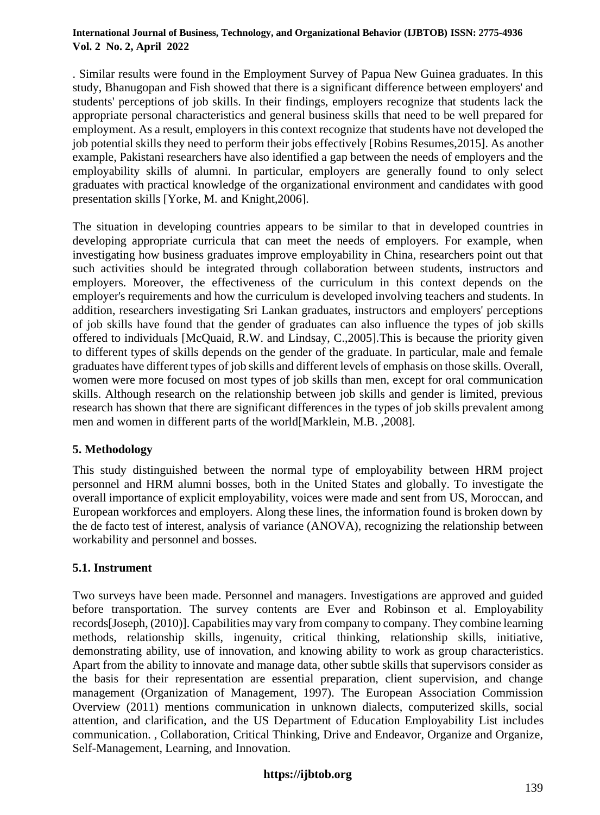. Similar results were found in the Employment Survey of Papua New Guinea graduates. In this study, Bhanugopan and Fish showed that there is a significant difference between employers' and students' perceptions of job skills. In their findings, employers recognize that students lack the appropriate personal characteristics and general business skills that need to be well prepared for employment. As a result, employers in this context recognize that students have not developed the job potential skills they need to perform their jobs effectively [Robins Resumes,2015]. As another example, Pakistani researchers have also identified a gap between the needs of employers and the employability skills of alumni. In particular, employers are generally found to only select graduates with practical knowledge of the organizational environment and candidates with good presentation skills [Yorke, M. and Knight,2006].

The situation in developing countries appears to be similar to that in developed countries in developing appropriate curricula that can meet the needs of employers. For example, when investigating how business graduates improve employability in China, researchers point out that such activities should be integrated through collaboration between students, instructors and employers. Moreover, the effectiveness of the curriculum in this context depends on the employer's requirements and how the curriculum is developed involving teachers and students. In addition, researchers investigating Sri Lankan graduates, instructors and employers' perceptions of job skills have found that the gender of graduates can also influence the types of job skills offered to individuals [McQuaid, R.W. and Lindsay, C.,2005].This is because the priority given to different types of skills depends on the gender of the graduate. In particular, male and female graduates have different types of job skills and different levels of emphasis on those skills. Overall, women were more focused on most types of job skills than men, except for oral communication skills. Although research on the relationship between job skills and gender is limited, previous research has shown that there are significant differences in the types of job skills prevalent among men and women in different parts of the world[Marklein, M.B. ,2008].

# **5. Methodology**

This study distinguished between the normal type of employability between HRM project personnel and HRM alumni bosses, both in the United States and globally. To investigate the overall importance of explicit employability, voices were made and sent from US, Moroccan, and European workforces and employers. Along these lines, the information found is broken down by the de facto test of interest, analysis of variance (ANOVA), recognizing the relationship between workability and personnel and bosses.

# **5.1. Instrument**

Two surveys have been made. Personnel and managers. Investigations are approved and guided before transportation. The survey contents are Ever and Robinson et al. Employability records[Joseph, (2010)]. Capabilities may vary from company to company. They combine learning methods, relationship skills, ingenuity, critical thinking, relationship skills, initiative, demonstrating ability, use of innovation, and knowing ability to work as group characteristics. Apart from the ability to innovate and manage data, other subtle skills that supervisors consider as the basis for their representation are essential preparation, client supervision, and change management (Organization of Management, 1997). The European Association Commission Overview (2011) mentions communication in unknown dialects, computerized skills, social attention, and clarification, and the US Department of Education Employability List includes communication. , Collaboration, Critical Thinking, Drive and Endeavor, Organize and Organize, Self-Management, Learning, and Innovation.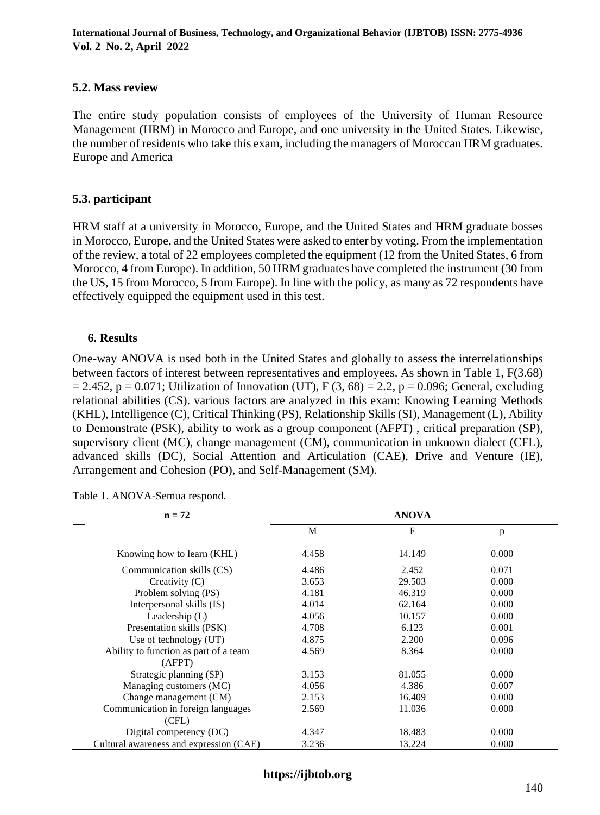#### **5.2. Mass review**

The entire study population consists of employees of the University of Human Resource Management (HRM) in Morocco and Europe, and one university in the United States. Likewise, the number of residents who take this exam, including the managers of Moroccan HRM graduates. Europe and America

### **5.3. participant**

HRM staff at a university in Morocco, Europe, and the United States and HRM graduate bosses in Morocco, Europe, and the United States were asked to enter by voting. From the implementation of the review, a total of 22 employees completed the equipment (12 from the United States, 6 from Morocco, 4 from Europe). In addition, 50 HRM graduates have completed the instrument (30 from the US, 15 from Morocco, 5 from Europe). In line with the policy, as many as 72 respondents have effectively equipped the equipment used in this test.

#### **6. Results**

One-way ANOVA is used both in the United States and globally to assess the interrelationships between factors of interest between representatives and employees. As shown in Table 1, F(3.68)  $= 2.452$ , p = 0.071; Utilization of Innovation (UT), F (3, 68) = 2.2, p = 0.096; General, excluding relational abilities (CS). various factors are analyzed in this exam: Knowing Learning Methods (KHL), Intelligence (C), Critical Thinking (PS), Relationship Skills (SI), Management (L), Ability to Demonstrate (PSK), ability to work as a group component (AFPT) , critical preparation (SP), supervisory client (MC), change management (CM), communication in unknown dialect (CFL), advanced skills (DC), Social Attention and Articulation (CAE), Drive and Venture (IE), Arrangement and Cohesion (PO), and Self-Management (SM).

| $n = 72$                                |       | <b>ANOVA</b> |       |
|-----------------------------------------|-------|--------------|-------|
|                                         | M     | F            | p     |
| Knowing how to learn (KHL)              | 4.458 | 14.149       | 0.000 |
| Communication skills (CS)               | 4.486 | 2.452        | 0.071 |
| Creativity $(C)$                        | 3.653 | 29.503       | 0.000 |
| Problem solving (PS)                    | 4.181 | 46.319       | 0.000 |
| Interpersonal skills (IS)               | 4.014 | 62.164       | 0.000 |
| Leadership $(L)$                        | 4.056 | 10.157       | 0.000 |
| Presentation skills (PSK)               | 4.708 | 6.123        | 0.001 |
| Use of technology (UT)                  | 4.875 | 2.200        | 0.096 |
| Ability to function as part of a team   | 4.569 | 8.364        | 0.000 |
| (AFPT)                                  |       |              |       |
| Strategic planning (SP)                 | 3.153 | 81.055       | 0.000 |
| Managing customers (MC)                 | 4.056 | 4.386        | 0.007 |
| Change management (CM)                  | 2.153 | 16.409       | 0.000 |
| Communication in foreign languages      | 2.569 | 11.036       | 0.000 |
| (CFL)                                   |       |              |       |
| Digital competency (DC)                 | 4.347 | 18.483       | 0.000 |
| Cultural awareness and expression (CAE) | 3.236 | 13.224       | 0.000 |

Table 1. ANOVA-Semua respond.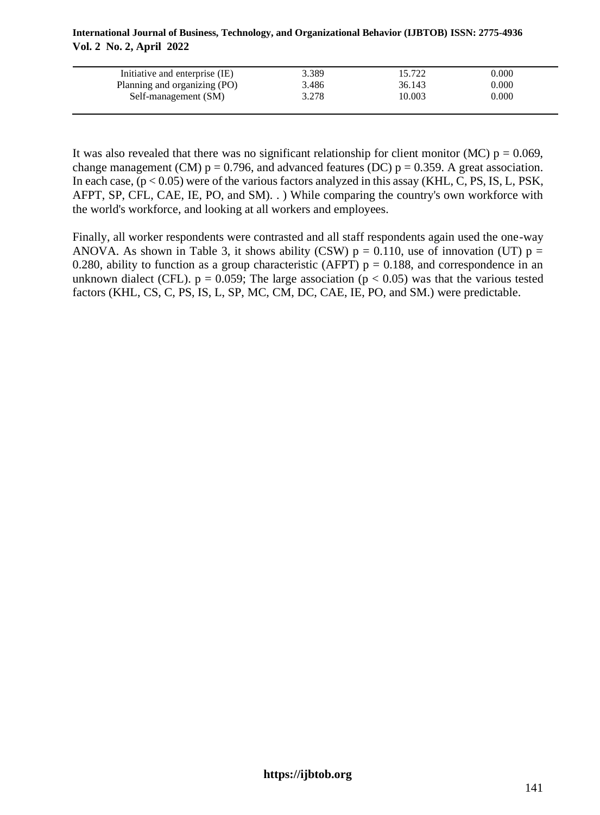|                          |  | International Journal of Business, Technology, and Organizational Behavior (IJBTOB) ISSN: 2775-4936 |  |
|--------------------------|--|-----------------------------------------------------------------------------------------------------|--|
| Vol. 2 No. 2, April 2022 |  |                                                                                                     |  |

| Initiative and enterprise (IE) | 3.389 | 15.722 | $0.000\,$ |  |
|--------------------------------|-------|--------|-----------|--|
| Planning and organizing (PO)   | 3.486 | 36.143 | $0.000\,$ |  |
| Self-management (SM)           | 3.278 | 10.003 | $0.000\,$ |  |
|                                |       |        |           |  |

It was also revealed that there was no significant relationship for client monitor (MC)  $p = 0.069$ , change management (CM)  $p = 0.796$ , and advanced features (DC)  $p = 0.359$ . A great association. In each case,  $(p < 0.05)$  were of the various factors analyzed in this assay (KHL, C, PS, IS, L, PSK, AFPT, SP, CFL, CAE, IE, PO, and SM). . ) While comparing the country's own workforce with the world's workforce, and looking at all workers and employees.

Finally, all worker respondents were contrasted and all staff respondents again used the one-way ANOVA. As shown in Table 3, it shows ability (CSW)  $p = 0.110$ , use of innovation (UT)  $p =$ 0.280, ability to function as a group characteristic (AFPT)  $p = 0.188$ , and correspondence in an unknown dialect (CFL).  $p = 0.059$ ; The large association ( $p < 0.05$ ) was that the various tested factors (KHL, CS, C, PS, IS, L, SP, MC, CM, DC, CAE, IE, PO, and SM.) were predictable.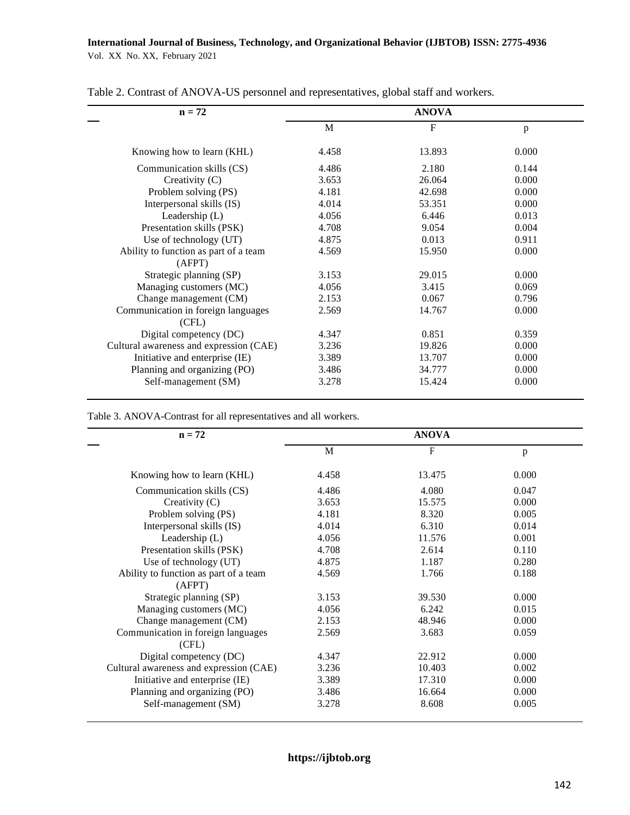| $n = 72$                                |             | <b>ANOVA</b> |       |
|-----------------------------------------|-------------|--------------|-------|
|                                         | $\mathbf M$ | $\mathbf F$  | p     |
| Knowing how to learn (KHL)              | 4.458       | 13.893       | 0.000 |
| Communication skills (CS)               | 4.486       | 2.180        | 0.144 |
| Creativity $(C)$                        | 3.653       | 26.064       | 0.000 |
| Problem solving (PS)                    | 4.181       | 42.698       | 0.000 |
| Interpersonal skills (IS)               | 4.014       | 53.351       | 0.000 |
| Leadership $(L)$                        | 4.056       | 6.446        | 0.013 |
| Presentation skills (PSK)               | 4.708       | 9.054        | 0.004 |
| Use of technology (UT)                  | 4.875       | 0.013        | 0.911 |
| Ability to function as part of a team   | 4.569       | 15.950       | 0.000 |
| (AFPT)                                  |             |              |       |
| Strategic planning (SP)                 | 3.153       | 29.015       | 0.000 |
| Managing customers (MC)                 | 4.056       | 3.415        | 0.069 |
| Change management (CM)                  | 2.153       | 0.067        | 0.796 |
| Communication in foreign languages      | 2.569       | 14.767       | 0.000 |
| (CFL)                                   |             |              |       |
| Digital competency (DC)                 | 4.347       | 0.851        | 0.359 |
| Cultural awareness and expression (CAE) | 3.236       | 19.826       | 0.000 |
| Initiative and enterprise (IE)          | 3.389       | 13.707       | 0.000 |
| Planning and organizing (PO)            | 3.486       | 34.777       | 0.000 |
| Self-management (SM)                    | 3.278       | 15.424       | 0.000 |

Table 2. Contrast of ANOVA-US personnel and representatives, global staff and workers.

Table 3. ANOVA-Contrast for all representatives and all workers.

| $n = 72$                                |       | <b>ANOVA</b> |       |
|-----------------------------------------|-------|--------------|-------|
|                                         | M     | F            | p     |
| Knowing how to learn (KHL)              | 4.458 | 13.475       | 0.000 |
| Communication skills (CS)               | 4.486 | 4.080        | 0.047 |
| Creativity (C)                          | 3.653 | 15.575       | 0.000 |
| Problem solving (PS)                    | 4.181 | 8.320        | 0.005 |
| Interpersonal skills (IS)               | 4.014 | 6.310        | 0.014 |
| Leadership (L)                          | 4.056 | 11.576       | 0.001 |
| Presentation skills (PSK)               | 4.708 | 2.614        | 0.110 |
| Use of technology (UT)                  | 4.875 | 1.187        | 0.280 |
| Ability to function as part of a team   | 4.569 | 1.766        | 0.188 |
| (AFPT)                                  |       |              |       |
| Strategic planning (SP)                 | 3.153 | 39.530       | 0.000 |
| Managing customers (MC)                 | 4.056 | 6.242        | 0.015 |
| Change management (CM)                  | 2.153 | 48.946       | 0.000 |
| Communication in foreign languages      | 2.569 | 3.683        | 0.059 |
| (CFL)                                   |       |              |       |
| Digital competency (DC)                 | 4.347 | 22.912       | 0.000 |
| Cultural awareness and expression (CAE) | 3.236 | 10.403       | 0.002 |
| Initiative and enterprise (IE)          | 3.389 | 17.310       | 0.000 |
| Planning and organizing (PO)            | 3.486 | 16.664       | 0.000 |
| Self-management (SM)                    | 3.278 | 8.608        | 0.005 |
|                                         |       |              |       |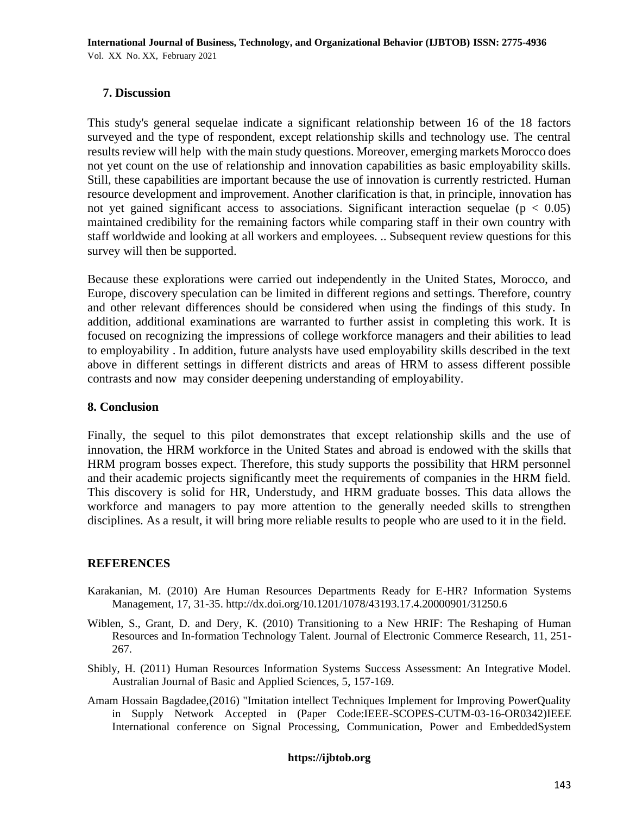## **7. Discussion**

This study's general sequelae indicate a significant relationship between 16 of the 18 factors surveyed and the type of respondent, except relationship skills and technology use. The central results review will help with the main study questions. Moreover, emerging markets Morocco does not yet count on the use of relationship and innovation capabilities as basic employability skills. Still, these capabilities are important because the use of innovation is currently restricted. Human resource development and improvement. Another clarification is that, in principle, innovation has not yet gained significant access to associations. Significant interaction sequelae ( $p < 0.05$ ) maintained credibility for the remaining factors while comparing staff in their own country with staff worldwide and looking at all workers and employees. .. Subsequent review questions for this survey will then be supported.

Because these explorations were carried out independently in the United States, Morocco, and Europe, discovery speculation can be limited in different regions and settings. Therefore, country and other relevant differences should be considered when using the findings of this study. In addition, additional examinations are warranted to further assist in completing this work. It is focused on recognizing the impressions of college workforce managers and their abilities to lead to employability . In addition, future analysts have used employability skills described in the text above in different settings in different districts and areas of HRM to assess different possible contrasts and now may consider deepening understanding of employability.

### **8. Conclusion**

Finally, the sequel to this pilot demonstrates that except relationship skills and the use of innovation, the HRM workforce in the United States and abroad is endowed with the skills that HRM program bosses expect. Therefore, this study supports the possibility that HRM personnel and their academic projects significantly meet the requirements of companies in the HRM field. This discovery is solid for HR, Understudy, and HRM graduate bosses. This data allows the workforce and managers to pay more attention to the generally needed skills to strengthen disciplines. As a result, it will bring more reliable results to people who are used to it in the field.

## **REFERENCES**

- Karakanian, M. (2010) Are Human Resources Departments Ready for E-HR? Information Systems Management, 17, 31-35. http://dx.doi.org/10.1201/1078/43193.17.4.20000901/31250.6
- Wiblen, S., Grant, D. and Dery, K. (2010) Transitioning to a New HRIF: The Reshaping of Human Resources and In-formation Technology Talent. Journal of Electronic Commerce Research, 11, 251- 267.
- Shibly, H. (2011) Human Resources Information Systems Success Assessment: An Integrative Model. Australian Journal of Basic and Applied Sciences, 5, 157-169.
- Amam Hossain Bagdadee,(2016) "Imitation intellect Techniques Implement for Improving PowerQuality in Supply Network Accepted in (Paper Code:IEEE-SCOPES-CUTM-03-16-OR0342)IEEE International conference on Signal Processing, Communication, Power and EmbeddedSystem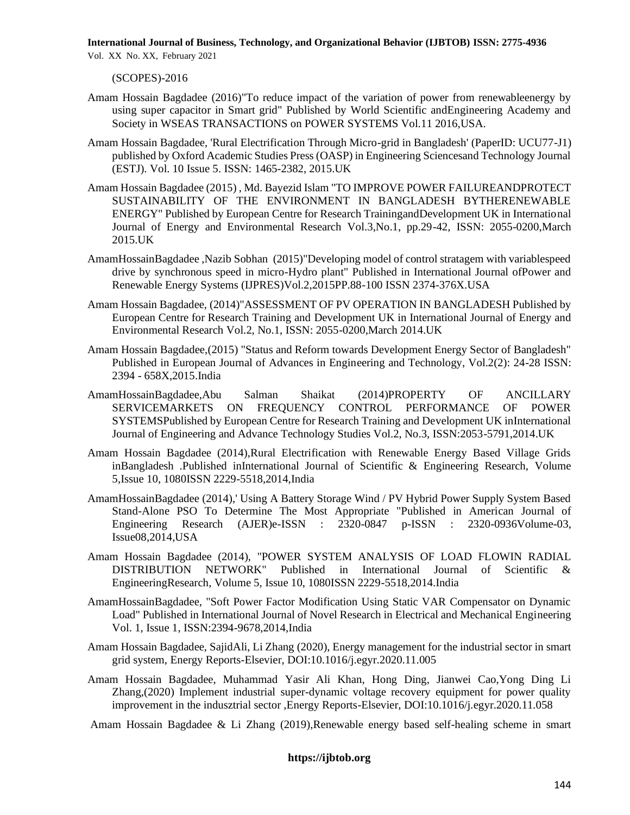(SCOPES)-2016

- Amam Hossain Bagdadee (2016)"To reduce impact of the variation of power from renewableenergy by using super capacitor in Smart grid" Published by World Scientific andEngineering Academy and Society in WSEAS TRANSACTIONS on POWER SYSTEMS Vol.11 2016,USA.
- Amam Hossain Bagdadee, 'Rural Electrification Through Micro-grid in Bangladesh' (PaperID: UCU77-J1) published by Oxford Academic Studies Press (OASP) in Engineering Sciencesand Technology Journal (ESTJ). Vol. 10 Issue 5. ISSN: 1465-2382, 2015.UK
- Amam Hossain Bagdadee (2015) , Md. Bayezid Islam "TO IMPROVE POWER FAILUREANDPROTECT SUSTAINABILITY OF THE ENVIRONMENT IN BANGLADESH BYTHERENEWABLE ENERGY" Published by European Centre for Research TrainingandDevelopment UK in International Journal of Energy and Environmental Research Vol.3,No.1, pp.29-42, ISSN: 2055-0200,March 2015.UK
- AmamHossainBagdadee ,Nazib Sobhan (2015)"Developing model of control stratagem with variablespeed drive by synchronous speed in micro-Hydro plant" Published in International Journal ofPower and Renewable Energy Systems (IJPRES)Vol.2,2015PP.88-100 ISSN 2374-376X.USA
- Amam Hossain Bagdadee, (2014)"ASSESSMENT OF PV OPERATION IN BANGLADESH Published by European Centre for Research Training and Development UK in International Journal of Energy and Environmental Research Vol.2, No.1, ISSN: 2055-0200,March 2014.UK
- Amam Hossain Bagdadee,(2015) "Status and Reform towards Development Energy Sector of Bangladesh" Published in European Journal of Advances in Engineering and Technology, Vol.2(2): 24-28 ISSN: 2394 - 658X,2015.India
- AmamHossainBagdadee,Abu Salman Shaikat (2014)PROPERTY OF ANCILLARY SERVICEMARKETS ON FREQUENCY CONTROL PERFORMANCE OF POWER SYSTEMSPublished by European Centre for Research Training and Development UK inInternational Journal of Engineering and Advance Technology Studies Vol.2, No.3, ISSN:2053-5791,2014.UK
- Amam Hossain Bagdadee (2014),Rural Electrification with Renewable Energy Based Village Grids inBangladesh .Published inInternational Journal of Scientific & Engineering Research, Volume 5,Issue 10, 1080ISSN 2229-5518,2014,India
- AmamHossainBagdadee (2014),' Using A Battery Storage Wind / PV Hybrid Power Supply System Based Stand-Alone PSO To Determine The Most Appropriate "Published in American Journal of Engineering Research (AJER)e-ISSN : 2320-0847 p-ISSN : 2320-0936Volume-03, Issue08,2014,USA
- Amam Hossain Bagdadee (2014), "POWER SYSTEM ANALYSIS OF LOAD FLOWIN RADIAL DISTRIBUTION NETWORK" Published in International Journal of Scientific & EngineeringResearch, Volume 5, Issue 10, 1080ISSN 2229-5518,2014.India
- AmamHossainBagdadee, "Soft Power Factor Modification Using Static VAR Compensator on Dynamic Load" Published in International Journal of Novel Research in Electrical and Mechanical Engineering Vol. 1, Issue 1, ISSN:2394-9678,2014,India
- Amam Hossain Bagdadee, SajidAli, Li Zhang (2020), Energy management for the industrial sector in smart grid system, Energy Reports-Elsevier, DOI:10.1016/j.egyr.2020.11.005
- Amam Hossain Bagdadee, Muhammad Yasir Ali Khan, Hong Ding, Jianwei Cao,Yong Ding Li Zhang,(2020) Implement industrial super-dynamic voltage recovery equipment for power quality improvement in the indusztrial sector ,Energy Reports-Elsevier, DOI:10.1016/j.egyr.2020.11.058

Amam Hossain Bagdadee & Li Zhang (2019),Renewable energy based self-healing scheme in smart